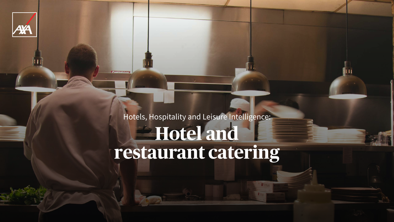

# Hotels, Hospitality and Leisure Intelligence: **Hotel and restaurant catering**

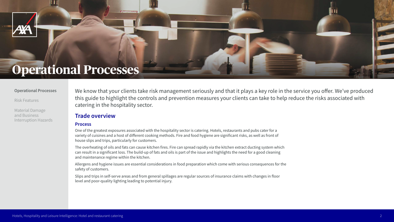We know that your clients take risk management seriously and that it plays a key role in the service you offer. We've produced this guide to highlight the controls and prevention measures your clients can take to help reduce the risks associated with catering in the hospitality sector.



## **Operational Processes**

#### **Operational Processes**

Risk Features

Material Damage and Business Interruption Hazards

2

### **Trade overview**

#### **Process**

One of the greatest exposures associated with the hospitality sector is catering. Hotels, restaurants and pubs cater for a variety of cuisines and a host of different cooking methods. Fire and food hygiene are significant risks, as well as front of house slips and trips, particularly for customers.

The overheating of oils and fats can cause kitchen fires. Fire can spread rapidly via the kitchen extract ducting system which can result in a significant loss. The build-up of fats and oils is part of the issue and highlights the need for a good cleaning and maintenance regime within the kitchen.

Allergens and hygiene issues are essential considerations in food preparation which come with serious consequences for the safety of customers.

Slips and trips in self-serve areas and from general spillages are regular sources of insurance claims with changes in floor level and poor-quality lighting leading to potential injury.

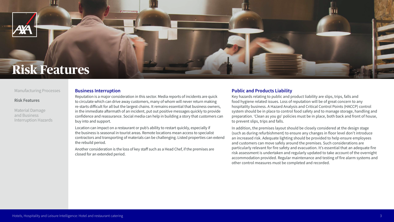#### **Business Interruption**

Reputation is a major consideration in this sector. Media reports of incidents are quick to circulate which can drive away customers, many of whom will never return making re-starts difficult for all but the largest chains. It remains essential that business owners, in the immediate aftermath of an incident, put out positive messages quickly to provide confidence and reassurance. Social media can help in building a story that customers can buy into and support.

Location can impact on a restaurant or pub's ability to restart quickly, especially if the business is seasonal in tourist areas. Remote locations mean access to specialist contractors and transporting of materials can be challenging. Listed properties can extend the rebuild period.

Another consideration is the loss of key staff such as a Head Chef, if the premises are closed for an extended period.

#### **Public and Products Liability**

Key hazards relating to public and product liability are slips, trips, falls and food hygiene related issues. Loss of reputation will be of great concern to any hospitality business. A Hazard Analysis and Critical Control Points (HACCP) control system should be in place to control food safety and to manage storage, handling and preparation. 'Clean as you go' policies must be in place, both back and front of house, to prevent slips, trips and falls.

In addition, the premises layout should be closely considered at the design stage (such as during refurbishment) to ensure any changes in floor level don't introduce an increased risk. Adequate lighting should be provided to help ensure employees and customers can move safely around the premises. Such considerations are particularly relevant for fire safety and evacuation. It's essential that an adequate fire risk assessment is undertaken and regularly updated to take account of the overnight accommodation provided. Regular maintenance and testing of fire alarm systems and other control measures must be completed and recorded.







## **Risk Features**

#### Manufacturing Processes

#### **Risk Features**

Material Damage and Business Interruption Hazards

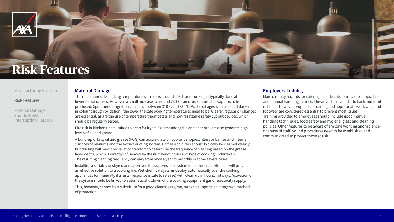

#### Manufacturing Processes

#### **Risk Features**

Material Damage and Business Interruption Hazards



## **Risk Features**

#### **Material Damage**

The maximum safe cooking temperature with oils is around 205°C and cooking is typically done at lower temperatures. However, a small increase to around 230°C can cause flammable vapours to be produced. Spontaneous ignition can occur between 310°C and 360°C. As the oil ages with use (and darkens in colour through oxidation), the lower the safe working temperatures need to be. Clearly, regular oil changes are essential, as are the use of temperature thermostats and non-resettable safety cut out devices, which should be regularly tested.

Fire risk in kitchens isn't limited to deep fat fryers. Salamander grills and char broilers also generate high levels of oil and grease.

A build-up of fats, oil and grease (FOG) can accumulate on cooker canopies, filters or baffles and internal surfaces of plenums and the extract ducting system. Baffles and filters should typically be cleaned weekly, but ducting will need specialist contractors to determine the frequency of cleaning based on the grease layer depth, which is directly influenced by the number of hours and type of cooking undertaken. The resulting cleaning frequency can vary from once a year to monthly in some severe cases.

Installing a suitably designed and approved fire suppression system for commercial kitchens will provide an effective solution to a cooking fire. Wet chemical systems deploy automatically over the cooking appliances (or manually if a faster response is safe to release) with clean up in hours, not days. Activation of the system should be linked to automatic shutdown of the cooking equipment gas or electricity supply.

This, however, cannot be a substitute for a good cleaning regime, rather it supports an integrated method of protection.

#### **Employers Liability**

Main casualty hazards for catering include cuts, burns, slips, trips, falls and manual handling injuries. These can be divided into back and front of house, however proper staff training and appropriate work wear and footwear are considered essential to prevent most issues. Training provided to employees should include good manual handling techniques, food safety and hygiene, glass and cleaning policies. Other features to be aware of are lone working and violence or abuse of staff. Sound procedures need to be established and communicated to protect those at risk.





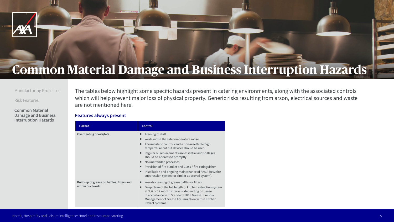| <b>Hazard</b>                                                  | <b>Control</b>                                                                                                                                                                                                                                                                                                                                                    |
|----------------------------------------------------------------|-------------------------------------------------------------------------------------------------------------------------------------------------------------------------------------------------------------------------------------------------------------------------------------------------------------------------------------------------------------------|
| Overheating of oils/fats.                                      | Training of staff.<br>Work within the safe temperatu<br>■<br>Thermostatic controls and a no<br>■<br>temperature cut out devices sh<br>Regular oil replacements are es<br>П<br>should be addressed promptly.<br>No unattended processes.<br>П<br>Provision of fire blanket and Cla<br>■<br>Installation and ongoing mainter<br>■<br>suppression system (or similar |
| Build-up of grease on baffles, filters and<br>within ductwork. | Weekly cleaning of grease baffle<br>П<br>Deep clean of the full length of<br>п<br>at 3, 6 or 12 month intervals, de<br>in accordance with Standard TF<br><b>Management of Grease Accumu</b><br><b>Extract Systems.</b>                                                                                                                                            |

The tables below highlight some specific hazards present in catering environments, along with the associated controls which will help prevent major loss of physical property. Generic risks resulting from arson, electrical sources and waste are not mentioned here.

#### **Features always present**



#### Manufacturing Processes

#### Risk Features

**Common Material Damage and Business Interruption Hazards**



# **Common Material Damage and Business Interruption Hazards**

ure range.

ion-resettable high hould be used.

essential and spillages

lass F fire extinguisher. tenance of Ansul R102 fire  $rapproved$  system).

fles or filters.

f kitchen extraction system lepending on usage R19 Grease: Fire Risk ulation within Kitchen

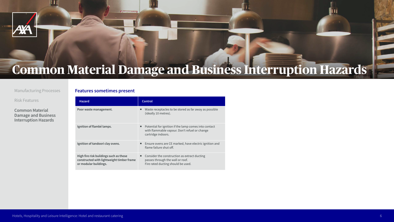| <b>Hazard</b>                                                                                                | <b>Control</b>                                                                                          |
|--------------------------------------------------------------------------------------------------------------|---------------------------------------------------------------------------------------------------------|
| Poor waste management.                                                                                       | Waste receptacles to be stored a<br>(ideally 10 metres).                                                |
| Ignition of flambé lamps.                                                                                    | Potential for ignition if the lamp<br>with flammable vapour. Don't re<br>cartridge indoors.             |
| Ignition of tandoori clay ovens.                                                                             | Ensure ovens are CE marked, ha<br>flame failure shut off.                                               |
| High fire risk buildings such as those<br>constructed with lightweight timber frame<br>or modular buildings. | Consider the construction as ex<br>passes through the wall or roof.<br>Fire rated ducting should be use |

#### **Features sometimes present**



#### Manufacturing Processes

Risk Features

**Common Material Damage and Business Interruption Hazards**



# **Common Material Damage and Business Interruption Hazards**

ed as far away as possible

**Ignition in Figure 1** it refuel or change

have electric ignition and

extract ducting used.

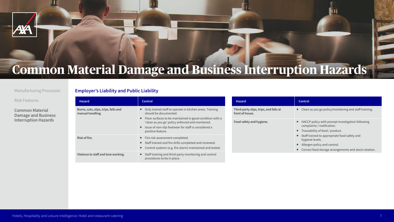| <b>Hazard</b>                                            | Control                                                                                                                                                                                                                                                                             |
|----------------------------------------------------------|-------------------------------------------------------------------------------------------------------------------------------------------------------------------------------------------------------------------------------------------------------------------------------------|
| Burns, cuts, slips, trips, falls and<br>manual handling. | Only trained staff to operate in kitchen areas. Training<br>should be documented.<br>Floor surfaces to be maintained in good condition with a<br>ш<br>'clean as you go' policy enforced and monitored.<br>Issue of non-slip footwear for staff is considered a<br>positive feature. |
| Risk of fire.                                            | Fire risk assessment completed.<br>Staff trained and fire drills completed and reviewed.<br>Control systems (e.g. fire alarm) maintained and tested.                                                                                                                                |
| Violence to staff and lone working.                      | Staff training and third-party monitoring and control<br>procedures to be in place.                                                                                                                                                                                                 |

### **Employer's Liability and Public Liability**

| <b>Hazard</b>                                             | Control                                                                                                                                                                                                                                                                                 |
|-----------------------------------------------------------|-----------------------------------------------------------------------------------------------------------------------------------------------------------------------------------------------------------------------------------------------------------------------------------------|
| Third-party slips, trips, and falls at<br>front of house. | Clean as you go policy/monitoring and staff training.                                                                                                                                                                                                                                   |
| Food safety and hygiene.                                  | HACCP policy with prompt investigation following<br>ш<br>complaints / notification.<br>Traceability of food / product.<br>Staff trained to appropriate food safety and<br>ш<br>hygiene levels.<br>Allergen policy and control.<br>Correct food storage arrangements and stock rotation. |
|                                                           |                                                                                                                                                                                                                                                                                         |







#### Manufacturing Processes

Risk Features

**Common Material Damage and Business Interruption Hazards**



# **Common Material Damage and Business Interruption Hazards**

- 
- 
- 
- 
- 
-